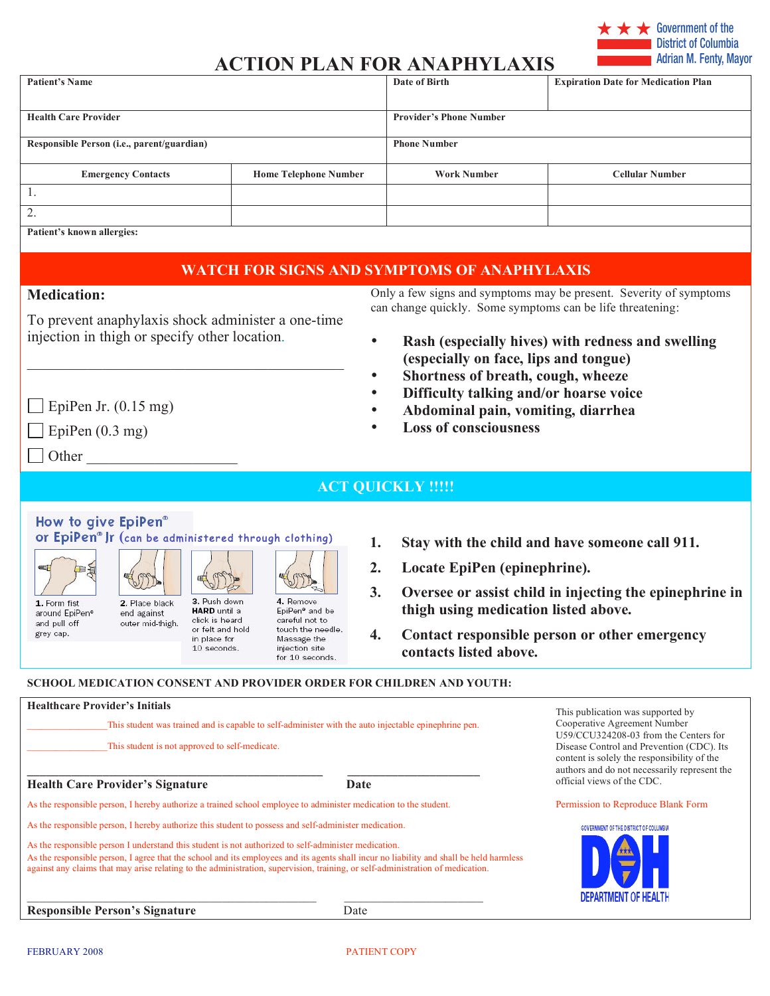

# **ACTION PLAN FOR ANAPHYLAXIS**

| <b>Patient's Name</b>                                                                                                                                                                                                                                                                                                                                                               |                              | Date of Birth                  | <b>Expiration Date for Medication Plan</b> |
|-------------------------------------------------------------------------------------------------------------------------------------------------------------------------------------------------------------------------------------------------------------------------------------------------------------------------------------------------------------------------------------|------------------------------|--------------------------------|--------------------------------------------|
|                                                                                                                                                                                                                                                                                                                                                                                     |                              |                                |                                            |
| <b>Health Care Provider</b>                                                                                                                                                                                                                                                                                                                                                         |                              | <b>Provider's Phone Number</b> |                                            |
| Responsible Person (i.e., parent/guardian)                                                                                                                                                                                                                                                                                                                                          |                              | <b>Phone Number</b>            |                                            |
| <b>Emergency Contacts</b>                                                                                                                                                                                                                                                                                                                                                           | <b>Home Telephone Number</b> | <b>Work Number</b>             | <b>Cellular Number</b>                     |
| 1.                                                                                                                                                                                                                                                                                                                                                                                  |                              |                                |                                            |
| $\bigcap$<br>4.                                                                                                                                                                                                                                                                                                                                                                     |                              |                                |                                            |
| $\mathbf{n}$ , $\mathbf{n}$ , $\mathbf{n}$ , $\mathbf{n}$ , $\mathbf{n}$ , $\mathbf{n}$ , $\mathbf{n}$ , $\mathbf{n}$ , $\mathbf{n}$ , $\mathbf{n}$ , $\mathbf{n}$ , $\mathbf{n}$ , $\mathbf{n}$ , $\mathbf{n}$ , $\mathbf{n}$ , $\mathbf{n}$ , $\mathbf{n}$ , $\mathbf{n}$ , $\mathbf{n}$ , $\mathbf{n}$ , $\mathbf{n}$ , $\mathbf{n}$ , $\mathbf{n}$ , $\mathbf{n}$ , $\mathbf{n$ |                              |                                |                                            |

**Patient's known allergies:** 

## **WATCH FOR SIGNS AND SYMPTOMS OF ANAPHYLAXIS**

#### **Medication:**

To prevent anaphylaxis shock administer a one-time injection in thigh or specify other location.

\_\_\_\_\_\_\_\_\_\_\_\_\_\_\_\_\_\_\_\_\_\_\_\_\_\_\_\_\_\_\_\_\_\_\_\_\_\_\_\_\_\_

Only a few signs and symptoms may be present. Severity of symptoms can change quickly. Some symptoms can be life threatening:

- **Rash (especially hives) with redness and swelling (especially on face, lips and tongue)**
- **Shortness of breath, cough, wheeze**
- **Difficulty talking and/or hoarse voice**
- **Abdominal pain, vomiting, diarrhea**
- **Loss of consciousness**

EpiPen Jr.  $(0.15 \text{ mg})$ 

 $\Box$  EpiPen (0.3 mg)

 $\Box$  Other

**ACT QUICKLY !!!!!** 

How to give EpiPen®

or EpiPen<sup>®</sup> Jr (can be administered through clothing)

46999

日子 1. Form fist

around EpiPen® and pull off grey cap.

2. Place black end against outer mid-thigh.

S 3. Push down **HARD** until a click is heard

or felt and hold

in place for

10 seconds.

4. Remove EpiPen<sup>®</sup> and be careful not to touch the needle. Massage the injection site for 10 seconds.

S

- **1. Stay with the child and have someone call 911.**
- **2. Locate EpiPen (epinephrine).**
- **3. Oversee or assist child in injecting the epinephrine in thigh using medication listed above.**
- **4. Contact responsible person or other emergency contacts listed above.**

#### **SCHOOL MEDICATION CONSENT AND PROVIDER ORDER FOR CHILDREN AND YOUTH:**

| <b>Healthcare Provider's Initials</b><br>This student was trained and is capable to self-administer with the auto injectable epinephrine pen.<br>This student is not approved to self-medicate.                                                                                                                                                                                   |      | This publication was supported by<br>Cooperative Agreement Number<br>U59/CCU324208-03 from the Centers for<br>Disease Control and Prevention (CDC). Its<br>content is solely the responsibility of the<br>authors and do not necessarily represent the |
|-----------------------------------------------------------------------------------------------------------------------------------------------------------------------------------------------------------------------------------------------------------------------------------------------------------------------------------------------------------------------------------|------|--------------------------------------------------------------------------------------------------------------------------------------------------------------------------------------------------------------------------------------------------------|
| <b>Health Care Provider's Signature</b>                                                                                                                                                                                                                                                                                                                                           | Date | official views of the CDC.                                                                                                                                                                                                                             |
| As the responsible person, I hereby authorize a trained school employee to administer medication to the student.                                                                                                                                                                                                                                                                  |      | Permission to Reproduce Blank Form                                                                                                                                                                                                                     |
| As the responsible person, I hereby authorize this student to possess and self-administer medication.                                                                                                                                                                                                                                                                             |      | <b>GOVERNMENT OF THE DISTRICT OF COLUMBIA</b>                                                                                                                                                                                                          |
| As the responsible person I understand this student is not authorized to self-administer medication.<br>As the responsible person, I agree that the school and its employees and its agents shall incur no liability and shall be held harmless<br>against any claims that may arise relating to the administration, supervision, training, or self-administration of medication. |      |                                                                                                                                                                                                                                                        |
|                                                                                                                                                                                                                                                                                                                                                                                   |      | DEPARTMENT OF HEALTH                                                                                                                                                                                                                                   |
| <b>Responsible Person's Signature</b>                                                                                                                                                                                                                                                                                                                                             | Date |                                                                                                                                                                                                                                                        |

FEBRUARY 2008 PATIENT COPY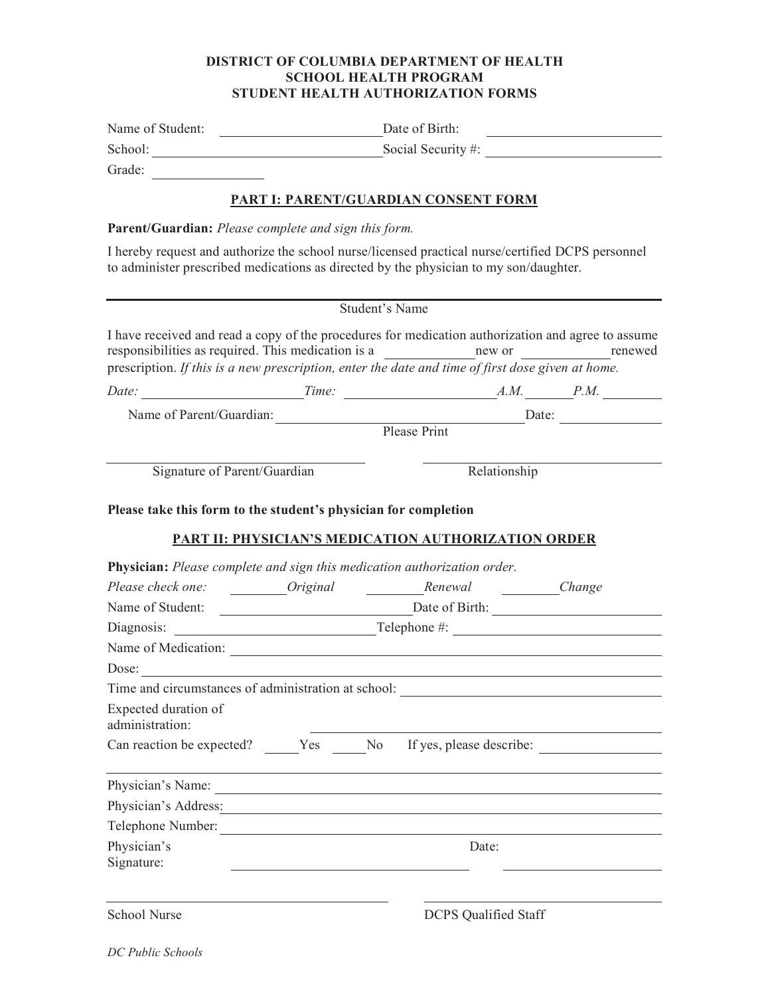#### **DISTRICT OF COLUMBIA DEPARTMENT OF HEALTH SCHOOL HEALTH PROGRAM STUDENT HEALTH AUTHORIZATION FORMS**

| Name of Student:                                                | Date of Birth:<br><u> 1989 - Johann Stein, mars an de Britannich (b. 1989)</u>                                                                                                                                                                                                                       |  |  |
|-----------------------------------------------------------------|------------------------------------------------------------------------------------------------------------------------------------------------------------------------------------------------------------------------------------------------------------------------------------------------------|--|--|
|                                                                 | School: School: Social Security #: Social Security #:                                                                                                                                                                                                                                                |  |  |
| Grade:                                                          |                                                                                                                                                                                                                                                                                                      |  |  |
|                                                                 | PART I: PARENT/GUARDIAN CONSENT FORM                                                                                                                                                                                                                                                                 |  |  |
|                                                                 |                                                                                                                                                                                                                                                                                                      |  |  |
| Parent/Guardian: Please complete and sign this form.            |                                                                                                                                                                                                                                                                                                      |  |  |
|                                                                 | I hereby request and authorize the school nurse/licensed practical nurse/certified DCPS personnel<br>to administer prescribed medications as directed by the physician to my son/daughter.                                                                                                           |  |  |
|                                                                 | Student's Name                                                                                                                                                                                                                                                                                       |  |  |
|                                                                 | I have received and read a copy of the procedures for medication authorization and agree to assume<br>responsibilities as required. This medication is a new or new or new or new or new or new or new or new or new or new or new or new or new or new or new or new or new or new or new or $\sim$ |  |  |
|                                                                 | prescription. If this is a new prescription, enter the date and time of first dose given at home.                                                                                                                                                                                                    |  |  |
|                                                                 |                                                                                                                                                                                                                                                                                                      |  |  |
|                                                                 |                                                                                                                                                                                                                                                                                                      |  |  |
|                                                                 |                                                                                                                                                                                                                                                                                                      |  |  |
| Signature of Parent/Guardian                                    | Relationship                                                                                                                                                                                                                                                                                         |  |  |
|                                                                 |                                                                                                                                                                                                                                                                                                      |  |  |
| Please take this form to the student's physician for completion |                                                                                                                                                                                                                                                                                                      |  |  |
|                                                                 | PART II: PHYSICIAN'S MEDICATION AUTHORIZATION ORDER                                                                                                                                                                                                                                                  |  |  |
|                                                                 | Physician: Please complete and sign this medication authorization order.                                                                                                                                                                                                                             |  |  |
|                                                                 |                                                                                                                                                                                                                                                                                                      |  |  |
|                                                                 | Name of Student: <u>Date of Birth:</u>                                                                                                                                                                                                                                                               |  |  |
|                                                                 |                                                                                                                                                                                                                                                                                                      |  |  |
|                                                                 |                                                                                                                                                                                                                                                                                                      |  |  |
|                                                                 | Dose:                                                                                                                                                                                                                                                                                                |  |  |
|                                                                 | Time and circumstances of administration at school:                                                                                                                                                                                                                                                  |  |  |
| Expected duration of                                            |                                                                                                                                                                                                                                                                                                      |  |  |
| administration:                                                 |                                                                                                                                                                                                                                                                                                      |  |  |
|                                                                 | Can reaction be expected? Yes No If yes, please describe:                                                                                                                                                                                                                                            |  |  |
|                                                                 | Physician's Name:                                                                                                                                                                                                                                                                                    |  |  |
|                                                                 | Physician's Address: Note and the material contract of the state of the state of the state of the state of the state of the state of the state of the state of the state of the state of the state of the state of the state o                                                                       |  |  |
|                                                                 | Telephone Number:                                                                                                                                                                                                                                                                                    |  |  |
| Physician's                                                     | Date:                                                                                                                                                                                                                                                                                                |  |  |
| Signature:                                                      |                                                                                                                                                                                                                                                                                                      |  |  |
|                                                                 |                                                                                                                                                                                                                                                                                                      |  |  |
| School Nurse                                                    | <b>DCPS</b> Qualified Staff                                                                                                                                                                                                                                                                          |  |  |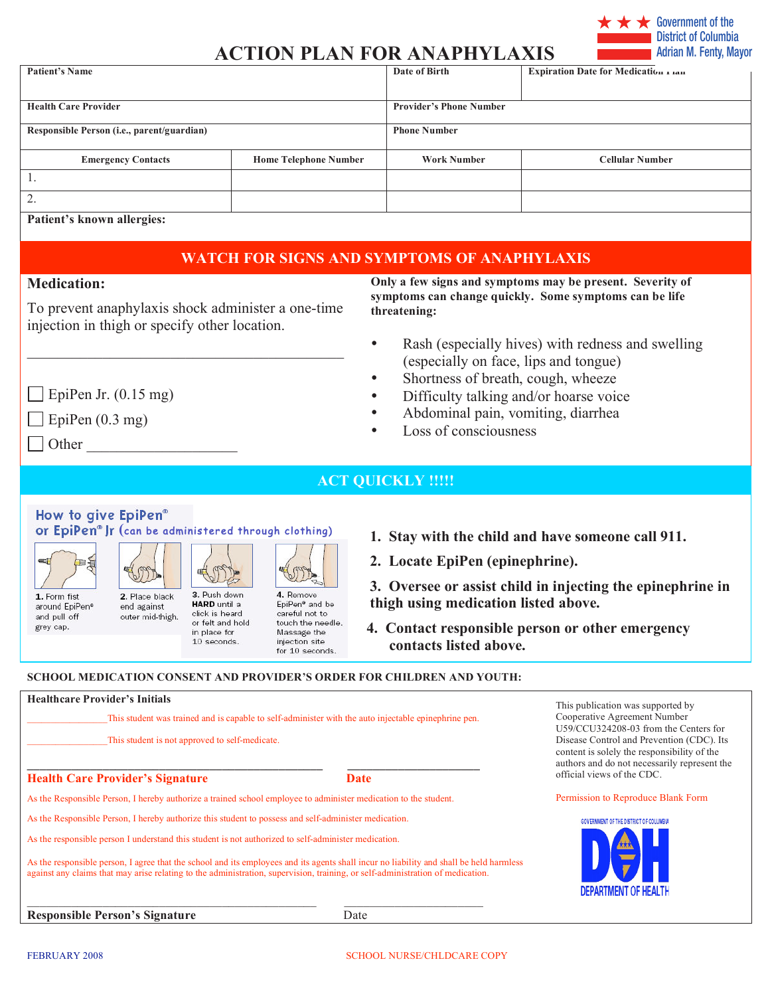

## **ACTION PLAN FOR ANAPHYLAXIS**

| <b>Patient's Name</b>                      |                              | Date of Birth                  | Expiration Date for Medication rian |
|--------------------------------------------|------------------------------|--------------------------------|-------------------------------------|
|                                            |                              |                                |                                     |
| <b>Health Care Provider</b>                |                              | <b>Provider's Phone Number</b> |                                     |
| Responsible Person (i.e., parent/guardian) |                              | <b>Phone Number</b>            |                                     |
| <b>Emergency Contacts</b>                  | <b>Home Telephone Number</b> | <b>Work Number</b>             | <b>Cellular Number</b>              |
|                                            |                              |                                |                                     |
| 2.                                         |                              |                                |                                     |
| Patient's known allergies:                 |                              |                                |                                     |

### **WATCH FOR SIGNS AND SYMPTOMS OF ANAPHYLAXIS**

### **Medication:**

To prevent anaphylaxis shock administer a one-time injection in thigh or specify other location.

\_\_\_\_\_\_\_\_\_\_\_\_\_\_\_\_\_\_\_\_\_\_\_\_\_\_\_\_\_\_\_\_\_\_\_\_\_\_\_\_\_\_

**Only a few signs and symptoms may be present. Severity of symptoms can change quickly. Some symptoms can be life threatening:**

- Rash (especially hives) with redness and swelling (especially on face, lips and tongue)
- Shortness of breath, cough, wheeze
- Difficulty talking and/or hoarse voice
- Abdominal pain, vomiting, diarrhea
- Loss of consciousness
- EpiPen Jr.  $(0.15 \text{ mg})$  $\Box$  EpiPen (0.3 mg)
- $\Box$  Other

**ACT QUICKLY !!!!!** 

How to give EpiPen®

or EpiPen<sup>®</sup> Jr (can be administered through clothing)



1. Form fist around EpiPen® and pull off grey cap.

3. Push down 2. Place black end against

**HARD** until a click is heard outer mid-thigh. or felt and hold in place for 10 seconds.

STOR 4. Remove EpiPen<sup>®</sup> and be careful not to touch the needle. Massage the injection site for 10 seconds.

- **1. Stay with the child and have someone call 911.**
- **2. Locate EpiPen (epinephrine).**

**3. Oversee or assist child in injecting the epinephrine in thigh using medication listed above.** 

**4. Contact responsible person or other emergency contacts listed above.**

#### **SCHOOL MEDICATION CONSENT AND PROVIDER'S ORDER FOR CHILDREN AND YOUTH:**

| <b>Healthcare Provider's Initials</b>                                                                                                                                                                                                                                     |      | This publication was supported by                                                                                                                                                                                                               |
|---------------------------------------------------------------------------------------------------------------------------------------------------------------------------------------------------------------------------------------------------------------------------|------|-------------------------------------------------------------------------------------------------------------------------------------------------------------------------------------------------------------------------------------------------|
| This student was trained and is capable to self-administer with the auto injectable epinephrine pen.                                                                                                                                                                      |      | Cooperative Agreement Number<br>U59/CCU324208-03 from the Centers for<br>Disease Control and Prevention (CDC). Its<br>content is solely the responsibility of the<br>authors and do not necessarily represent the<br>official views of the CDC. |
| This student is not approved to self-medicate.                                                                                                                                                                                                                            |      |                                                                                                                                                                                                                                                 |
| <b>Health Care Provider's Signature</b><br>Date                                                                                                                                                                                                                           |      |                                                                                                                                                                                                                                                 |
| As the Responsible Person, I hereby authorize a trained school employee to administer medication to the student.                                                                                                                                                          |      | Permission to Reproduce Blank Form                                                                                                                                                                                                              |
| As the Responsible Person, I hereby authorize this student to possess and self-administer medication.                                                                                                                                                                     |      | <b>GOVERNMENT OF THE DISTRICT OF COLUMBIA</b>                                                                                                                                                                                                   |
| As the responsible person I understand this student is not authorized to self-administer medication.                                                                                                                                                                      |      |                                                                                                                                                                                                                                                 |
| As the responsible person, I agree that the school and its employees and its agents shall incur no liability and shall be held harmless<br>against any claims that may arise relating to the administration, supervision, training, or self-administration of medication. |      |                                                                                                                                                                                                                                                 |
|                                                                                                                                                                                                                                                                           |      | <b>DEPARTMENT OF HEALTH</b>                                                                                                                                                                                                                     |
| <b>Responsible Person's Signature</b>                                                                                                                                                                                                                                     | Date |                                                                                                                                                                                                                                                 |